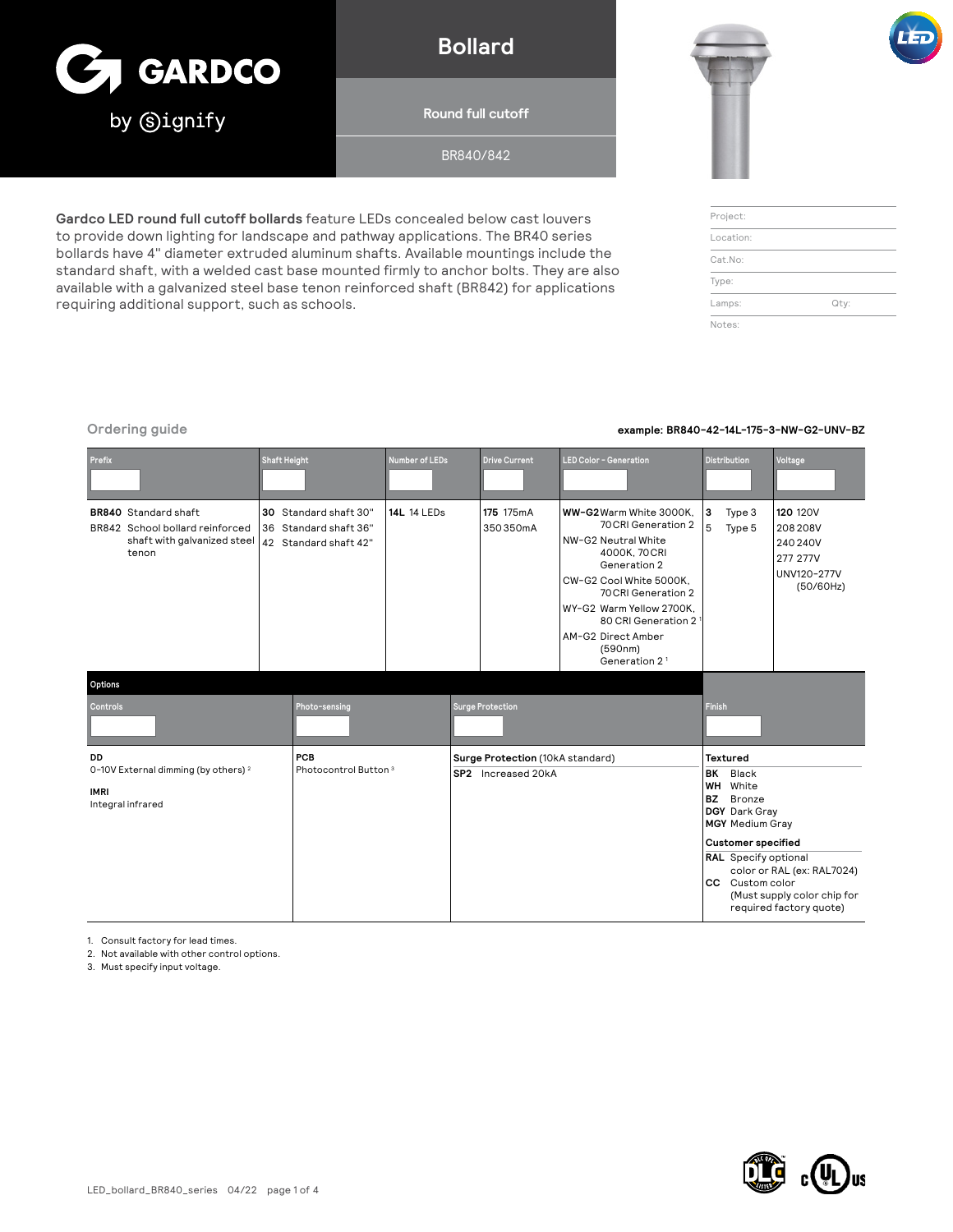

## **Bollard**

**Round full cutoff**

BR840/842

**Gardco LED round full cutoff bollards** feature LEDs concealed below cast louvers to provide down lighting for landscape and pathway applications. The BR40 series bollards have 4" diameter extruded aluminum shafts. Available mountings include the standard shaft, with a welded cast base mounted firmly to anchor bolts. They are also available with a galvanized steel base tenon reinforced shaft (BR842) for applications requiring additional support, such as schools.





| Project:  |      |
|-----------|------|
| Location: |      |
| Cat.No:   |      |
| Type:     |      |
| Lamps:    | Qty: |
| Notes:    |      |

### **Ordering guide example: BR840-42-14L-175-3-NW-G2-UNV-BZ**

| Prefix                                                                                                 | <b>Shaft Height</b> |                                                                         | <b>Number of LEDs</b> |                                  | <b>Drive Current</b>    | <b>LED Color - Generation</b>                                                                                                                                                                                                                                            |                                                                                                                                                                                                                                                              | <b>Distribution</b> | Voltage                                                                          |
|--------------------------------------------------------------------------------------------------------|---------------------|-------------------------------------------------------------------------|-----------------------|----------------------------------|-------------------------|--------------------------------------------------------------------------------------------------------------------------------------------------------------------------------------------------------------------------------------------------------------------------|--------------------------------------------------------------------------------------------------------------------------------------------------------------------------------------------------------------------------------------------------------------|---------------------|----------------------------------------------------------------------------------|
| <b>BR840</b> Standard shaft<br>BR842 School bollard reinforced<br>shaft with galvanized steel<br>tenon |                     | 30 Standard shaft 30"<br>36 Standard shaft 36"<br>42 Standard shaft 42" | <b>14L 14 LEDs</b>    |                                  | 175 175mA<br>350350mA   | WW-G2Warm White 3000K.<br>70 CRI Generation 2<br>NW-G2 Neutral White<br>4000K, 70 CRI<br>Generation 2<br>CW-G2 Cool White 5000K.<br>70 CRI Generation 2<br>WY-G2 Warm Yellow 2700K,<br>80 CRI Generation 2<br>AM-G2 Direct Amber<br>(590nm)<br>Generation 2 <sup>1</sup> | 3<br>5                                                                                                                                                                                                                                                       | Type 3<br>Type 5    | <b>120 120V</b><br>208 208 V<br>240 240V<br>277 277V<br>UNV120-277V<br>(50/60Hz) |
| Options                                                                                                |                     |                                                                         |                       |                                  |                         |                                                                                                                                                                                                                                                                          |                                                                                                                                                                                                                                                              |                     |                                                                                  |
| Controls                                                                                               |                     | Photo-sensing                                                           |                       |                                  | <b>Surge Protection</b> |                                                                                                                                                                                                                                                                          | <b>Finish</b>                                                                                                                                                                                                                                                |                     |                                                                                  |
| DD<br>0-10V External dimming (by others) <sup>2</sup>                                                  |                     | PCB<br>Photocontrol Button <sup>3</sup>                                 |                       | Surge Protection (10kA standard) |                         |                                                                                                                                                                                                                                                                          | <b>Textured</b>                                                                                                                                                                                                                                              |                     |                                                                                  |
| <b>IMRI</b><br>Integral infrared                                                                       |                     |                                                                         |                       | SP2 Increased 20kA               |                         |                                                                                                                                                                                                                                                                          | BK<br>Black<br><b>WH</b><br>White<br>BZ<br>Bronze<br>DGY Dark Gray<br><b>MGY</b> Medium Gray<br><b>Customer specified</b><br>RAL Specify optional<br>color or RAL (ex: RAL7024)<br>CC Custom color<br>(Must supply color chip for<br>required factory quote) |                     |                                                                                  |

1. Consult factory for lead times.

2. Not available with other control options.

3. Must specify input voltage.

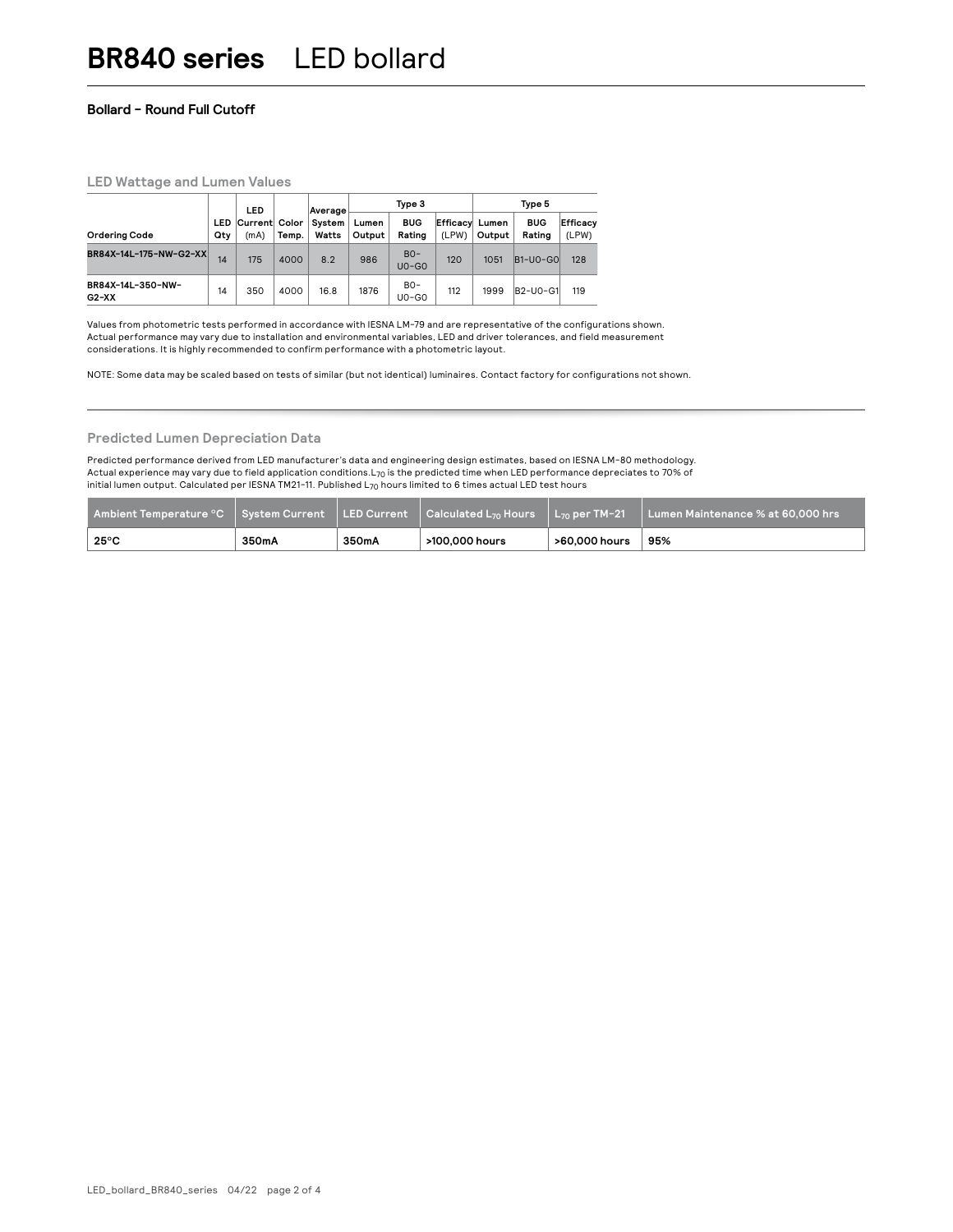#### **Bollard - Round Full Cutoff**

#### **LED Wattage and Lumen Values**

|                              |     | LED                       |       | Average         | Type 3          |                      |                         | Type 5 |                      |                   |  |
|------------------------------|-----|---------------------------|-------|-----------------|-----------------|----------------------|-------------------------|--------|----------------------|-------------------|--|
| <b>Ordering Code</b>         | Qty | LED Current Color<br>(mA) | Temp. | System<br>Watts | Lumen<br>Output | <b>BUG</b><br>Rating | Efficacy Lumen<br>(LPW) | Output | <b>BUG</b><br>Rating | Efficacy<br>(LPW) |  |
| BR84X-14L-175-NW-G2-XX       | 14  | 175                       | 4000  | 8.2             | 986             | $BO-$<br>$UO-GO$     | 120                     | 1051   | $ B1-U0-G0 $         | 128               |  |
| BR84X-14L-350-NW-<br>$G2-XX$ | 14  | 350                       | 4000  | 16.8            | 1876            | $BO-$<br>$UO-GO$     | 112                     | 1999   | B2-U0-G1             | 119               |  |

Values from photometric tests performed in accordance with IESNA LM-79 and are representative of the configurations shown. Actual performance may vary due to installation and environmental variables, LED and driver tolerances, and field measurement considerations. It is highly recommended to confirm performance with a photometric layout.

NOTE: Some data may be scaled based on tests of similar (but not identical) luminaires. Contact factory for configurations not shown.

#### **Predicted Lumen Depreciation Data**

Predicted performance derived from LED manufacturer's data and engineering design estimates, based on IESNA LM-80 methodology. Actual experience may vary due to field application conditions.L<sub>70</sub> is the predicted time when LED performance depreciates to 70% of initial lumen output. Calculated per IESNA TM21-11. Published  $L_{70}$  hours limited to 6 times actual LED test hours

| Ambient Temperature °C   System Current   LED Current   Calculated L <sub>70</sub> Hours   L <sub>70</sub> per TM-21 |       |       |                |               | ll Lumen Maintenance % at 60.000 hrs ' |
|----------------------------------------------------------------------------------------------------------------------|-------|-------|----------------|---------------|----------------------------------------|
| $25^{\circ}$ C                                                                                                       | 350mA | 350mA | >100.000 hours | >60.000 hours | 95%                                    |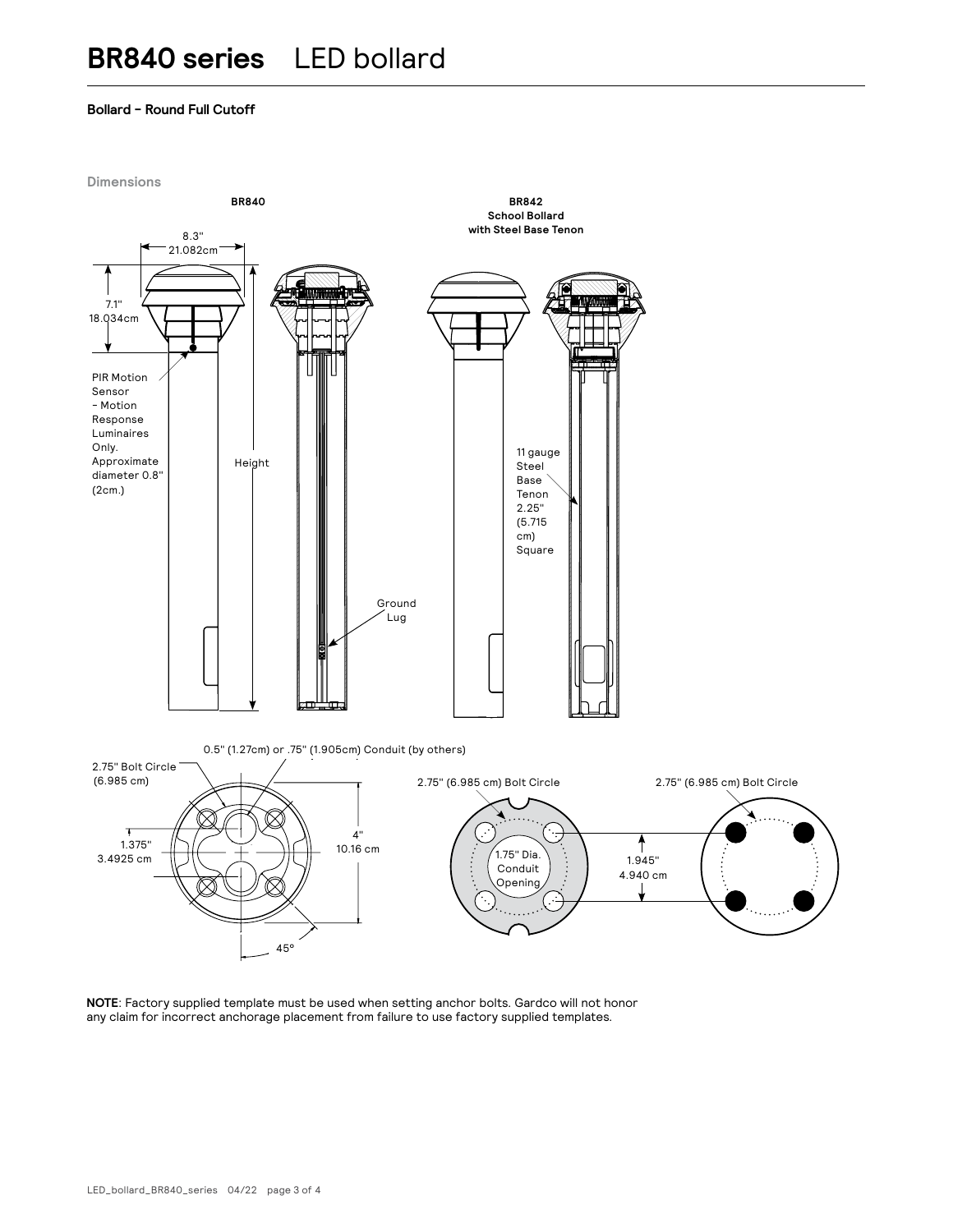#### **Bollard - Round Full Cutoff**



**NOTE**: Factory supplied template must be used when setting anchor bolts. Gardco will not honor any claim for incorrect anchorage placement from failure to use factory supplied templates.